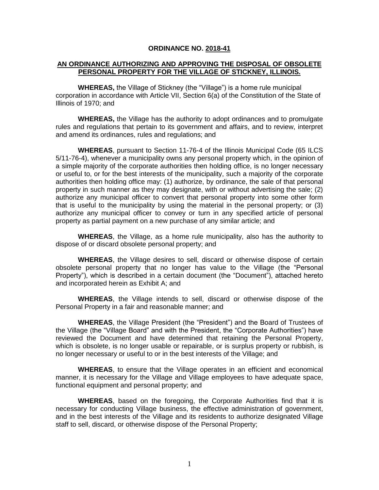#### **ORDINANCE NO. 2018-41**

#### **AN ORDINANCE AUTHORIZING AND APPROVING THE DISPOSAL OF OBSOLETE PERSONAL PROPERTY FOR THE VILLAGE OF STICKNEY, ILLINOIS.**

**WHEREAS,** the Village of Stickney (the "Village") is a home rule municipal corporation in accordance with Article VII, Section 6(a) of the Constitution of the State of Illinois of 1970; and

**WHEREAS,** the Village has the authority to adopt ordinances and to promulgate rules and regulations that pertain to its government and affairs, and to review, interpret and amend its ordinances, rules and regulations; and

**WHEREAS**, pursuant to Section 11-76-4 of the Illinois Municipal Code (65 ILCS 5/11-76-4), whenever a municipality owns any personal property which, in the opinion of a simple majority of the corporate authorities then holding office, is no longer necessary or useful to, or for the best interests of the municipality, such a majority of the corporate authorities then holding office may: (1) authorize, by ordinance, the sale of that personal property in such manner as they may designate, with or without advertising the sale; (2) authorize any municipal officer to convert that personal property into some other form that is useful to the municipality by using the material in the personal property; or (3) authorize any municipal officer to convey or turn in any specified article of personal property as partial payment on a new purchase of any similar article; and

**WHEREAS**, the Village, as a home rule municipality, also has the authority to dispose of or discard obsolete personal property; and

**WHEREAS**, the Village desires to sell, discard or otherwise dispose of certain obsolete personal property that no longer has value to the Village (the "Personal Property"), which is described in a certain document (the "Document"), attached hereto and incorporated herein as Exhibit A; and

**WHEREAS**, the Village intends to sell, discard or otherwise dispose of the Personal Property in a fair and reasonable manner; and

**WHEREAS**, the Village President (the "President") and the Board of Trustees of the Village (the "Village Board" and with the President, the "Corporate Authorities") have reviewed the Document and have determined that retaining the Personal Property, which is obsolete, is no longer usable or repairable, or is surplus property or rubbish, is no longer necessary or useful to or in the best interests of the Village; and

**WHEREAS**, to ensure that the Village operates in an efficient and economical manner, it is necessary for the Village and Village employees to have adequate space, functional equipment and personal property; and

**WHEREAS**, based on the foregoing, the Corporate Authorities find that it is necessary for conducting Village business, the effective administration of government, and in the best interests of the Village and its residents to authorize designated Village staff to sell, discard, or otherwise dispose of the Personal Property;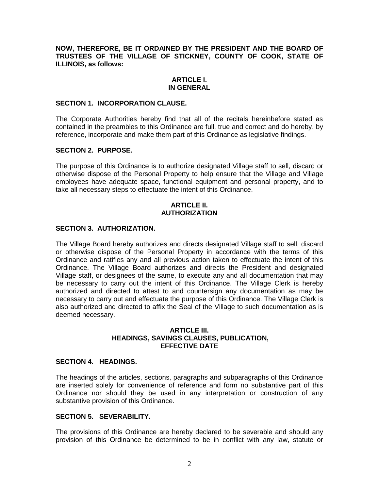# **NOW, THEREFORE, BE IT ORDAINED BY THE PRESIDENT AND THE BOARD OF TRUSTEES OF THE VILLAGE OF STICKNEY, COUNTY OF COOK, STATE OF ILLINOIS, as follows:**

#### **ARTICLE I. IN GENERAL**

#### **SECTION 1. INCORPORATION CLAUSE.**

The Corporate Authorities hereby find that all of the recitals hereinbefore stated as contained in the preambles to this Ordinance are full, true and correct and do hereby, by reference, incorporate and make them part of this Ordinance as legislative findings.

## **SECTION 2. PURPOSE.**

The purpose of this Ordinance is to authorize designated Village staff to sell, discard or otherwise dispose of the Personal Property to help ensure that the Village and Village employees have adequate space, functional equipment and personal property, and to take all necessary steps to effectuate the intent of this Ordinance.

# **ARTICLE II. AUTHORIZATION**

# **SECTION 3. AUTHORIZATION.**

The Village Board hereby authorizes and directs designated Village staff to sell, discard or otherwise dispose of the Personal Property in accordance with the terms of this Ordinance and ratifies any and all previous action taken to effectuate the intent of this Ordinance. The Village Board authorizes and directs the President and designated Village staff, or designees of the same, to execute any and all documentation that may be necessary to carry out the intent of this Ordinance. The Village Clerk is hereby authorized and directed to attest to and countersign any documentation as may be necessary to carry out and effectuate the purpose of this Ordinance. The Village Clerk is also authorized and directed to affix the Seal of the Village to such documentation as is deemed necessary.

## **ARTICLE III. HEADINGS, SAVINGS CLAUSES, PUBLICATION, EFFECTIVE DATE**

## **SECTION 4. HEADINGS.**

The headings of the articles, sections, paragraphs and subparagraphs of this Ordinance are inserted solely for convenience of reference and form no substantive part of this Ordinance nor should they be used in any interpretation or construction of any substantive provision of this Ordinance.

#### **SECTION 5. SEVERABILITY.**

The provisions of this Ordinance are hereby declared to be severable and should any provision of this Ordinance be determined to be in conflict with any law, statute or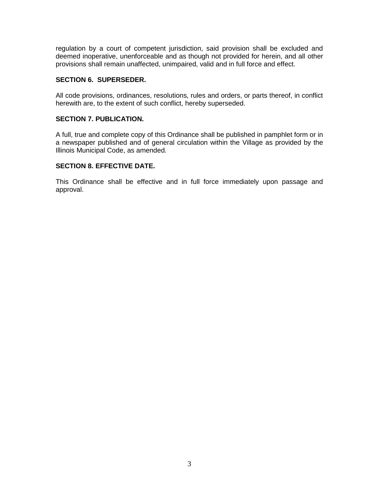regulation by a court of competent jurisdiction, said provision shall be excluded and deemed inoperative, unenforceable and as though not provided for herein, and all other provisions shall remain unaffected, unimpaired, valid and in full force and effect.

# **SECTION 6. SUPERSEDER.**

All code provisions, ordinances, resolutions, rules and orders, or parts thereof, in conflict herewith are, to the extent of such conflict, hereby superseded.

# **SECTION 7. PUBLICATION.**

A full, true and complete copy of this Ordinance shall be published in pamphlet form or in a newspaper published and of general circulation within the Village as provided by the Illinois Municipal Code, as amended.

# **SECTION 8. EFFECTIVE DATE.**

This Ordinance shall be effective and in full force immediately upon passage and approval.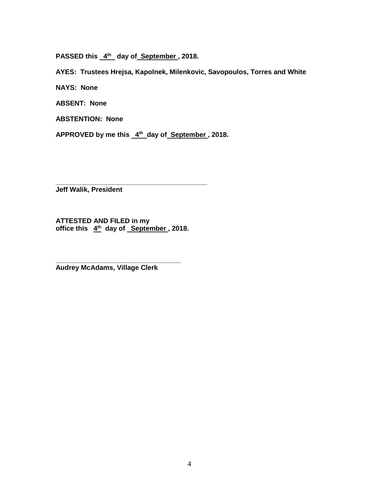PASSED this  $4^{\text{th}}$  day of September, 2018.

**AYES: Trustees Hrejsa, Kapolnek, Milenkovic, Savopoulos, Torres and White**

**NAYS: None**

**ABSENT: None**

**ABSTENTION: None**

APPROVED by me this 4<sup>th</sup> day of September, 2018.

**Jeff Walik, President**

**ATTESTED AND FILED in my office this 4 th day of September , 2018.**

**\_\_\_\_\_\_\_\_\_\_\_\_\_\_\_\_\_\_\_\_\_\_\_\_\_\_\_\_\_\_\_\_\_**

**\_\_\_\_\_\_\_\_\_\_\_\_\_\_\_\_\_\_\_\_\_\_\_\_\_\_\_\_\_\_\_\_\_\_\_\_\_\_\_\_**

**Audrey McAdams, Village Clerk**